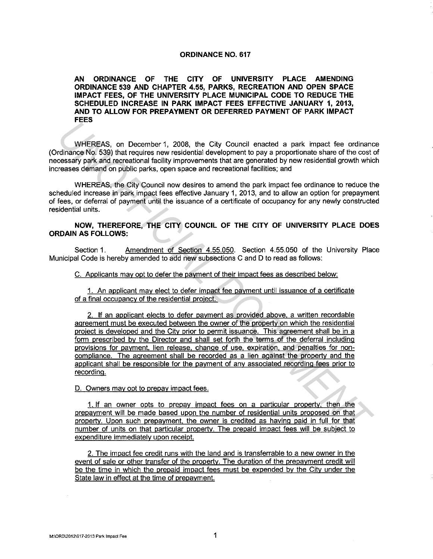## **ORDINANCE NO. 617**

**AN ORDINANCE OF THE CITY OF UNIVERSITY PLACE AMENDING ORDINANCE 539 AND CHAPTER 4.55, PARKS, RECREATION AND OPEN SPACE IMPACT FEES, OF THE UNIVERSITY PLACE MUNICIPAL CODE TO REDUCE THE SCHEDULED INCREASE IN PARK IMPACT FEES EFFECTIVE JANUARY 1, 2013, AND TO ALLOW FOR PREPAYMENT OR DEFERRED PAYMENT OF PARK IMPACT FEES** 

WHEREAS, on December 1, 2008, the City Council enacted a park impact fee ordinance (Ordinance No. 539) that requires new residential development to pay a proportionate share of the cost of necessary park and recreational facility improvements that are generated by new residential growth which increases demand on public parks, open space and recreational facilities; and

WHEREAS, the City Council now desires to amend the park impact fee ordinance to reduce the scheduled increase in park impact fees effective January 1, 2013, and to allow an option for prepayment of fees, or deferral of payment until the issuance of a certificate of occupancy for any newly constructed residential units.

## **NOW, THEREFORE, THE CITY COUNCIL OF THE CITY OF UNIVERSITY PLACE DOES ORDAIN AS FOLLOWS:**

Section 1. Amendment of Section 4.55.050. Section 4.55.050 of the University Place Municipal Code is hereby amended to add new subsections C and D to read as follows:

C. Applicants may opt to defer the payment of their impact fees as described below:

1. An applicant may elect to defer impact fee payment until issuance of a certificate of a final occupancy of the residential project.

2. If an applicant elects to defer payment as provided above, a written recordable agreement must be executed between the owner of the property on which the residential project is developed and the City prior to permit issuance. This agreement shall be in a form prescribed by the Director and shall set forth the terms of the deferral including provisions for payment. lien release. change of use, expiration, and penalties for noncompliance. The agreement shall be recorded as a lien against the property and the applicant shall be responsible for the payment of any associated recording fees prior to recording. **THE REAS, on December 1, 2008. the City Council enacted a park impact fee ordinant<br>
Indinance No 539) that requires new residential development to pay a proportionate share of the cost<br>
crossery park and recreational faci** 

## D. Owners may oot to prepay impact fees.

1. If an owner opts to prepay impact fees on a particular property, then the prepayment will be made based upon the number of residential units proposed on that property. Upon such prepayment. the owner is credited as having paid in full for that number of units on that particular property. The prepaid impact fees will be subject to expenditure immediately upon receipt.

2. The impact fee credit runs with the land and is transferrable to a new owner in the event of sale or other transfer of the property. The duration of the prepayment credit will be the time in which the prepaid impact fees must be expended by the City under the State law in effect at the time of prepayment.